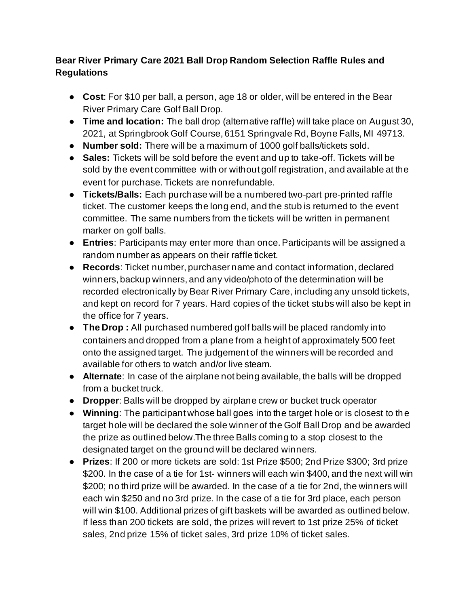## **Bear River Primary Care 2021 Ball Drop Random Selection Raffle Rules and Regulations**

- **Cost**: For \$10 per ball, a person, age 18 or older, will be entered in the Bear River Primary Care Golf Ball Drop.
- **Time and location:** The ball drop (alternative raffle) will take place on August 30, 2021, at Springbrook Golf Course, 6151 Springvale Rd, Boyne Falls, MI 49713.
- **Number sold:** There will be a maximum of 1000 golf balls/tickets sold.
- **Sales:** Tickets will be sold before the event and up to take-off. Tickets will be sold by the event committee with or without golf registration, and available at the event for purchase. Tickets are nonrefundable.
- **Tickets/Balls:** Each purchase will be a numbered two-part pre-printed raffle ticket. The customer keeps the long end, and the stub is returned to the event committee. The same numbers from the tickets will be written in permanent marker on golf balls.
- **Entries**: Participants may enter more than once. Participants will be assigned a random number as appears on their raffle ticket.
- **Records**: Ticket number, purchaser name and contact information, declared winners, backup winners, and any video/photo of the determination will be recorded electronically by Bear River Primary Care, including any unsold tickets, and kept on record for 7 years. Hard copies of the ticket stubs will also be kept in the office for 7 years.
- **The Drop :** All purchased numbered golf balls will be placed randomly into containers and dropped from a plane from a height of approximately 500 feet onto the assigned target. The judgement of the winners will be recorded and available for others to watch and/or live steam.
- **Alternate**: In case of the airplane not being available, the balls will be dropped from a bucket truck.
- **Dropper**: Balls will be dropped by airplane crew or bucket truck operator
- **Winning**: The participant whose ball goes into the target hole or is closest to th e target hole will be declared the sole winner of the Golf Ball Drop and be awarded the prize as outlined below.The three Balls coming to a stop closest to the designated target on the ground will be declared winners.
- **Prizes**: If 200 or more tickets are sold: 1st Prize \$500; 2nd Prize \$300; 3rd prize \$200. In the case of a tie for 1st- winners will each win \$400, and the next will win \$200; no third prize will be awarded. In the case of a tie for 2nd, the winners will each win \$250 and no 3rd prize. In the case of a tie for 3rd place, each person will win \$100. Additional prizes of gift baskets will be awarded as outlined below. If less than 200 tickets are sold, the prizes will revert to 1st prize 25% of ticket sales, 2nd prize 15% of ticket sales, 3rd prize 10% of ticket sales.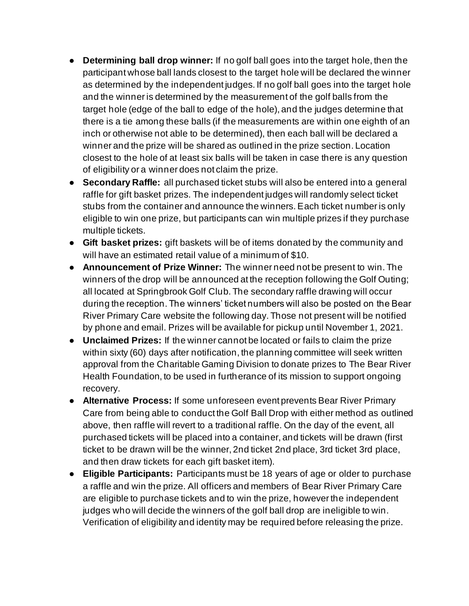- **Determining ball drop winner:** If no golf ball goes into the target hole, then the participant whose ball lands closest to the target hole will be declared the winner as determined by the independent judges. If no golf ball goes into the target hole and the winner is determined by the measurement of the golf balls from the target hole (edge of the ball to edge of the hole), and the judges determine that there is a tie among these balls (if the measurements are within one eighth of an inch or otherwise not able to be determined), then each ball will be declared a winner and the prize will be shared as outlined in the prize section. Location closest to the hole of at least six balls will be taken in case there is any question of eligibility or a winner does not claim the prize.
- **Secondary Raffle:** all purchased ticket stubs will also be entered into a general raffle for gift basket prizes. The independent judges will randomly select ticket stubs from the container and announce the winners. Each ticket number is only eligible to win one prize, but participants can win multiple prizes if they purchase multiple tickets.
- **Gift basket prizes:** gift baskets will be of items donated by the community and will have an estimated retail value of a minimum of \$10.
- **Announcement of Prize Winner:** The winner need not be present to win. The winners of the drop will be announced at the reception following the Golf Outing; all located at Springbrook Golf Club. The secondary raffle drawing will occur during the reception. The winners' ticket numbers will also be posted on the Bear River Primary Care website the following day. Those not present will be notified by phone and email. Prizes will be available for pickup until November 1, 2021.
- **Unclaimed Prizes:** If the winner cannot be located or fails to claim the prize within sixty (60) days after notification, the planning committee will seek written approval from the Charitable Gaming Division to donate prizes to The Bear River Health Foundation, to be used in furtherance of its mission to support ongoing recovery.
- **Alternative Process:** If some unforeseen event prevents Bear River Primary Care from being able to conduct the Golf Ball Drop with either method as outlined above, then raffle will revert to a traditional raffle. On the day of the event, all purchased tickets will be placed into a container, and tickets will be drawn (first ticket to be drawn will be the winner, 2nd ticket 2nd place, 3rd ticket 3rd place, and then draw tickets for each gift basket item).
- **Eligible Participants:** Participants must be 18 years of age or older to purchase a raffle and win the prize. All officers and members of Bear River Primary Care are eligible to purchase tickets and to win the prize, however the independent judges who will decide the winners of the golf ball drop are ineligible to win. Verification of eligibility and identity may be required before releasing the prize.